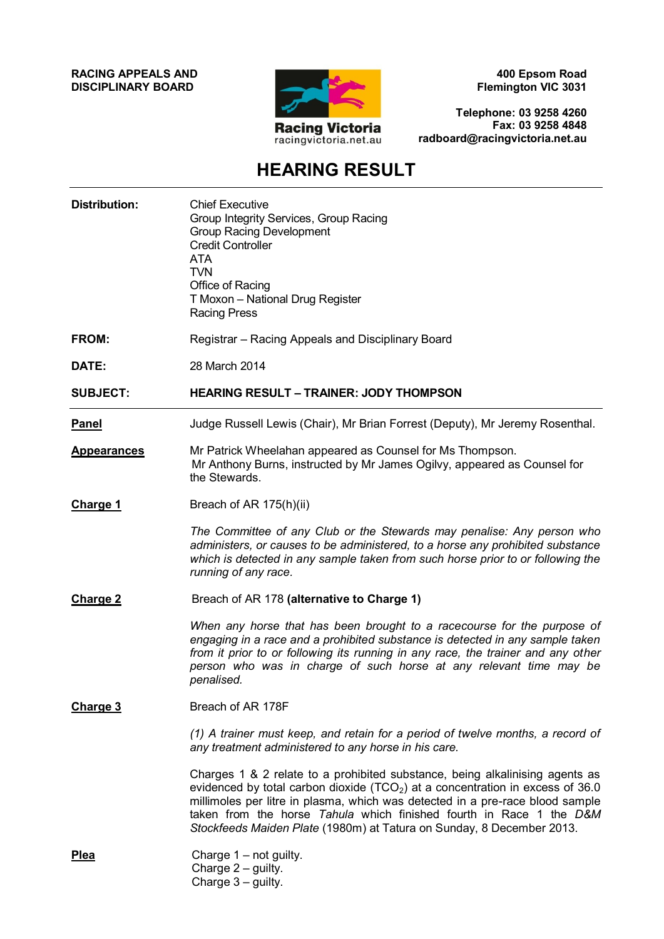**RACING APPEALS AND DISCIPLINARY BOARD**



**400 Epsom Road Flemington VIC 3031**

**Telephone: 03 9258 4260 Fax: 03 9258 4848 radboard@racingvictoria.net.au**

# **HEARING RESULT**

| <b>Distribution:</b> | <b>Chief Executive</b><br>Group Integrity Services, Group Racing<br><b>Group Racing Development</b><br><b>Credit Controller</b><br>ATA<br><b>TVN</b><br>Office of Racing<br>T Moxon - National Drug Register<br><b>Racing Press</b>                                                                                                                                                                |
|----------------------|----------------------------------------------------------------------------------------------------------------------------------------------------------------------------------------------------------------------------------------------------------------------------------------------------------------------------------------------------------------------------------------------------|
| FROM:                | Registrar – Racing Appeals and Disciplinary Board                                                                                                                                                                                                                                                                                                                                                  |
| DATE:                | 28 March 2014                                                                                                                                                                                                                                                                                                                                                                                      |
| <b>SUBJECT:</b>      | <b>HEARING RESULT – TRAINER: JODY THOMPSON</b>                                                                                                                                                                                                                                                                                                                                                     |
| <b>Panel</b>         | Judge Russell Lewis (Chair), Mr Brian Forrest (Deputy), Mr Jeremy Rosenthal.                                                                                                                                                                                                                                                                                                                       |
| <b>Appearances</b>   | Mr Patrick Wheelahan appeared as Counsel for Ms Thompson.<br>Mr Anthony Burns, instructed by Mr James Ogilvy, appeared as Counsel for<br>the Stewards.                                                                                                                                                                                                                                             |
| Charge 1             | Breach of AR 175(h)(ii)                                                                                                                                                                                                                                                                                                                                                                            |
|                      | The Committee of any Club or the Stewards may penalise: Any person who<br>administers, or causes to be administered, to a horse any prohibited substance<br>which is detected in any sample taken from such horse prior to or following the<br>running of any race.                                                                                                                                |
| <b>Charge 2</b>      | Breach of AR 178 (alternative to Charge 1)                                                                                                                                                                                                                                                                                                                                                         |
|                      | When any horse that has been brought to a racecourse for the purpose of<br>engaging in a race and a prohibited substance is detected in any sample taken<br>from it prior to or following its running in any race, the trainer and any other<br>person who was in charge of such horse at any relevant time may be<br>penalised.                                                                   |
| <b>Charge 3</b>      | Breach of AR 178F                                                                                                                                                                                                                                                                                                                                                                                  |
|                      | (1) A trainer must keep, and retain for a period of twelve months, a record of<br>any treatment administered to any horse in his care.                                                                                                                                                                                                                                                             |
|                      | Charges 1 & 2 relate to a prohibited substance, being alkalinising agents as<br>evidenced by total carbon dioxide ( $TCO2$ ) at a concentration in excess of 36.0<br>millimoles per litre in plasma, which was detected in a pre-race blood sample<br>taken from the horse Tahula which finished fourth in Race 1 the D&M<br>Stockfeeds Maiden Plate (1980m) at Tatura on Sunday, 8 December 2013. |
| <b>Plea</b>          | Charge $1 - not$ guilty.<br>Charge $2$ – guilty.<br>Charge 3 - guilty.                                                                                                                                                                                                                                                                                                                             |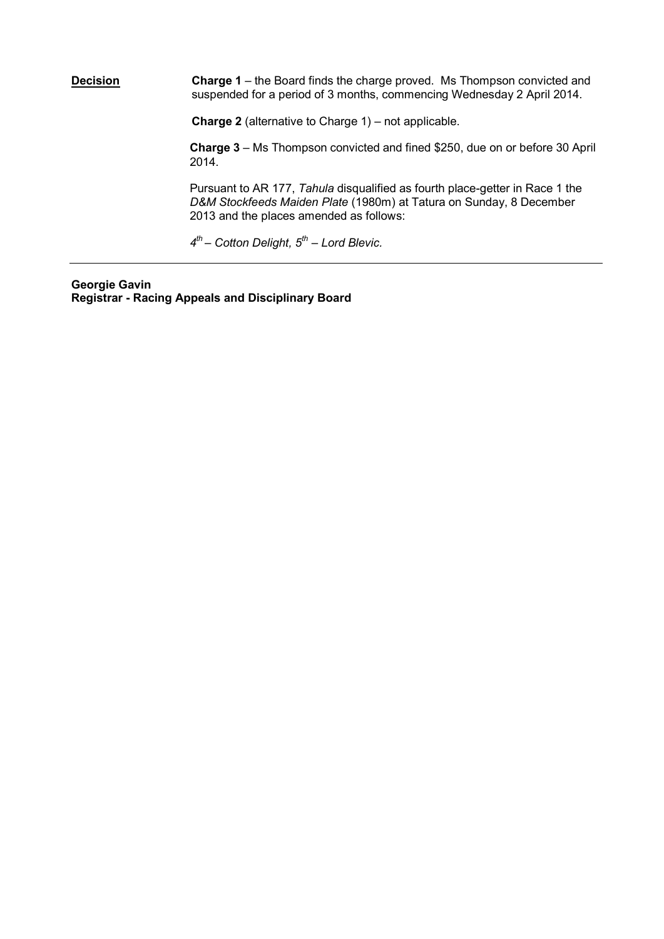**Decision Charge 1** – the Board finds the charge proved. Ms Thompson convicted and suspended for a period of 3 months, commencing Wednesday 2 April 2014.

**Charge 2** (alternative to Charge 1) – not applicable.

**Charge 3** – Ms Thompson convicted and fined \$250, due on or before 30 April 2014.

Pursuant to AR 177, *Tahula* disqualified as fourth place-getter in Race 1 the *D&M Stockfeeds Maiden Plate* (1980m) at Tatura on Sunday, 8 December 2013 and the places amended as follows:

*4 th – Cotton Delight, 5th – Lord Blevic.*

**Georgie Gavin Registrar - Racing Appeals and Disciplinary Board**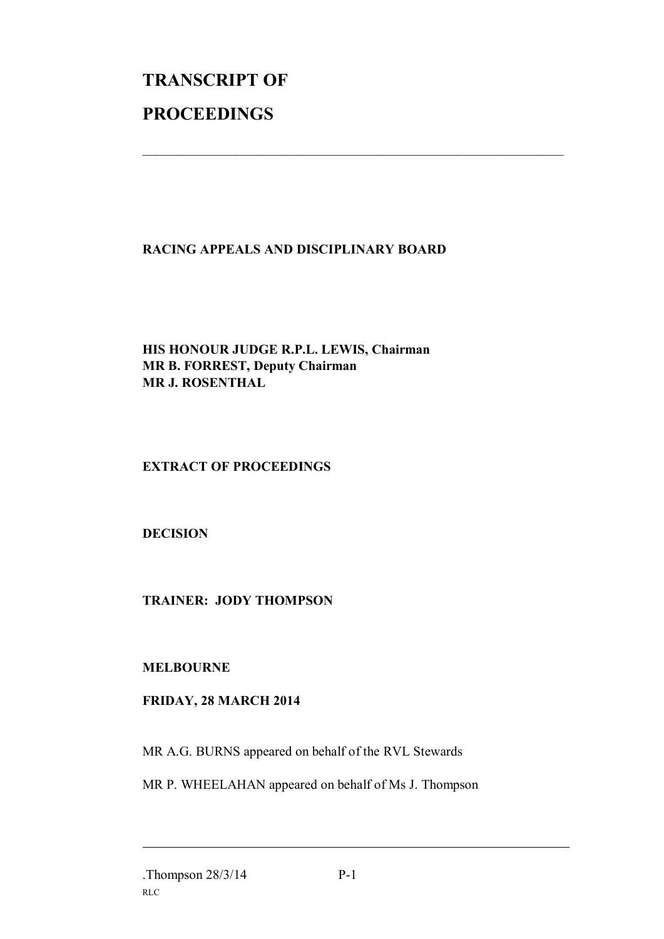# **TRANSCRIPT OF PROCEEDINGS**

# **RACING APPEALS AND DISCIPLINARY BOARD**

 $\mathcal{L}_\mathcal{L}$  , and the contribution of the contribution of the contribution of the contribution of the contribution of the contribution of the contribution of the contribution of the contribution of the contribution of

### **HIS HONOUR JUDGE R.P.L. LEWIS, Chairman MR B. FORREST, Deputy Chairman MR J. ROSENTHAL**

# **EXTRACT OF PROCEEDINGS**

### **DECISION**

# **TRAINER: JODY THOMPSON**

### **MELBOURNE**

### **FRIDAY, 28 MARCH 2014**

MR A.G. BURNS appeared on behalf of the RVL Stewards

MR P. WHEELAHAN appeared on behalf of Ms J. Thompson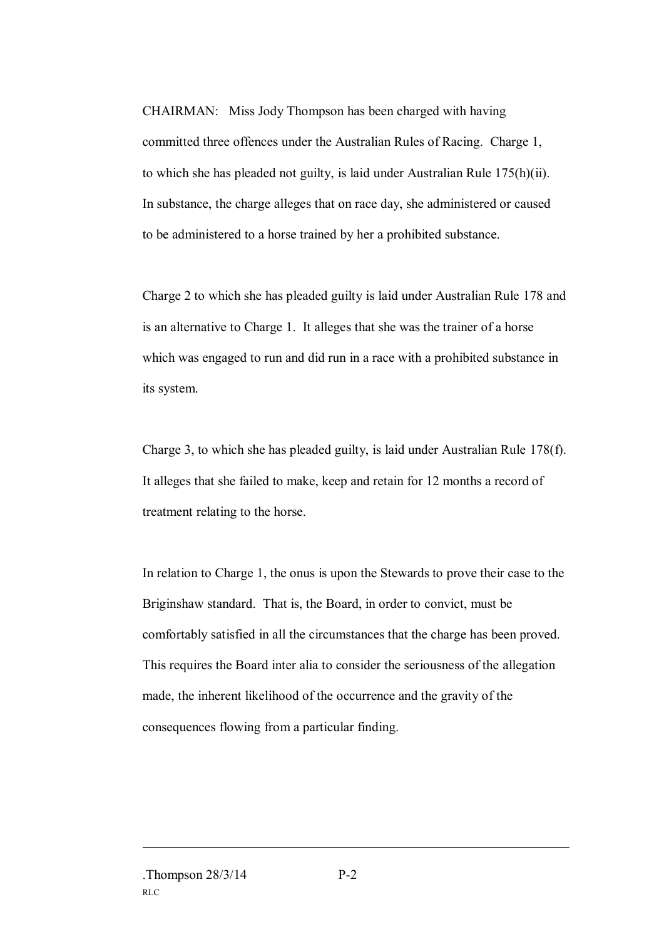CHAIRMAN: Miss Jody Thompson has been charged with having committed three offences under the Australian Rules of Racing. Charge 1, to which she has pleaded not guilty, is laid under Australian Rule 175(h)(ii). In substance, the charge alleges that on race day, she administered or caused to be administered to a horse trained by her a prohibited substance.

Charge 2 to which she has pleaded guilty is laid under Australian Rule 178 and is an alternative to Charge 1. It alleges that she was the trainer of a horse which was engaged to run and did run in a race with a prohibited substance in its system.

Charge 3, to which she has pleaded guilty, is laid under Australian Rule 178(f). It alleges that she failed to make, keep and retain for 12 months a record of treatment relating to the horse.

In relation to Charge 1, the onus is upon the Stewards to prove their case to the Briginshaw standard. That is, the Board, in order to convict, must be comfortably satisfied in all the circumstances that the charge has been proved. This requires the Board inter alia to consider the seriousness of the allegation made, the inherent likelihood of the occurrence and the gravity of the consequences flowing from a particular finding.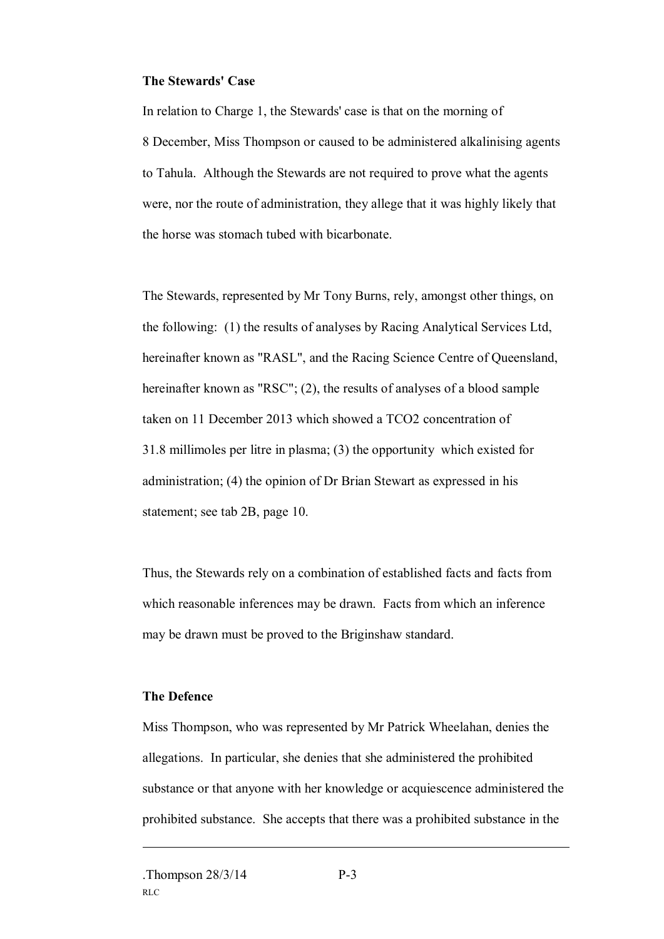#### **The Stewards' Case**

In relation to Charge 1, the Stewards' case is that on the morning of 8 December, Miss Thompson or caused to be administered alkalinising agents to Tahula. Although the Stewards are not required to prove what the agents were, nor the route of administration, they allege that it was highly likely that the horse was stomach tubed with bicarbonate.

The Stewards, represented by Mr Tony Burns, rely, amongst other things, on the following: (1) the results of analyses by Racing Analytical Services Ltd, hereinafter known as "RASL", and the Racing Science Centre of Queensland, hereinafter known as "RSC"; (2), the results of analyses of a blood sample taken on 11 December 2013 which showed a TCO2 concentration of 31.8 millimoles per litre in plasma; (3) the opportunity which existed for administration; (4) the opinion of Dr Brian Stewart as expressed in his statement; see tab 2B, page 10.

Thus, the Stewards rely on a combination of established facts and facts from which reasonable inferences may be drawn. Facts from which an inference may be drawn must be proved to the Briginshaw standard.

#### **The Defence**

Miss Thompson, who was represented by Mr Patrick Wheelahan, denies the allegations. In particular, she denies that she administered the prohibited substance or that anyone with her knowledge or acquiescence administered the prohibited substance. She accepts that there was a prohibited substance in the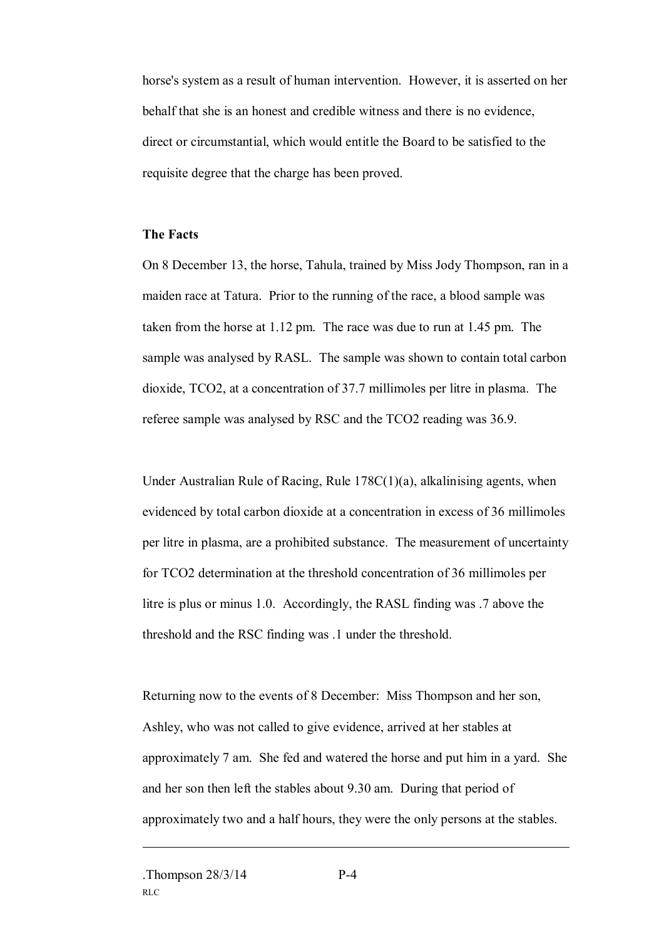horse's system as a result of human intervention. However, it is asserted on her behalf that she is an honest and credible witness and there is no evidence, direct or circumstantial, which would entitle the Board to be satisfied to the requisite degree that the charge has been proved.

#### **The Facts**

On 8 December 13, the horse, Tahula, trained by Miss Jody Thompson, ran in a maiden race at Tatura. Prior to the running of the race, a blood sample was taken from the horse at 1.12 pm. The race was due to run at 1.45 pm. The sample was analysed by RASL. The sample was shown to contain total carbon dioxide, TCO2, at a concentration of 37.7 millimoles per litre in plasma. The referee sample was analysed by RSC and the TCO2 reading was 36.9.

Under Australian Rule of Racing, Rule 178C(1)(a), alkalinising agents, when evidenced by total carbon dioxide at a concentration in excess of 36 millimoles per litre in plasma, are a prohibited substance. The measurement of uncertainty for TCO2 determination at the threshold concentration of 36 millimoles per litre is plus or minus 1.0. Accordingly, the RASL finding was .7 above the threshold and the RSC finding was .1 under the threshold.

Returning now to the events of 8 December: Miss Thompson and her son, Ashley, who was not called to give evidence, arrived at her stables at approximately 7 am. She fed and watered the horse and put him in a yard. She and her son then left the stables about 9.30 am. During that period of approximately two and a half hours, they were the only persons at the stables.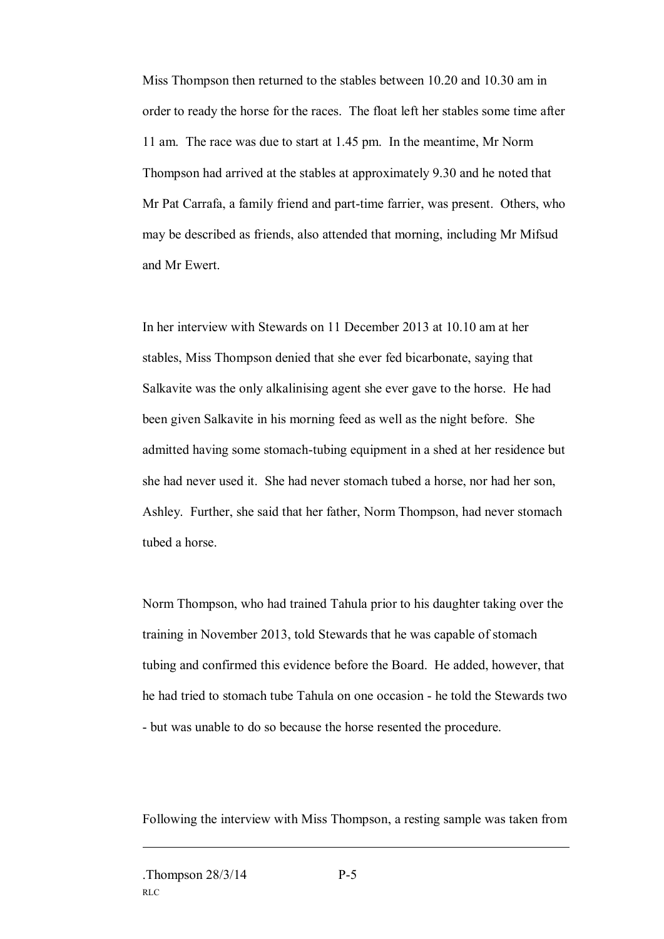Miss Thompson then returned to the stables between 10.20 and 10.30 am in order to ready the horse for the races. The float left her stables some time after 11 am. The race was due to start at 1.45 pm. In the meantime, Mr Norm Thompson had arrived at the stables at approximately 9.30 and he noted that Mr Pat Carrafa, a family friend and part-time farrier, was present. Others, who may be described as friends, also attended that morning, including Mr Mifsud and Mr Ewert.

In her interview with Stewards on 11 December 2013 at 10.10 am at her stables, Miss Thompson denied that she ever fed bicarbonate, saying that Salkavite was the only alkalinising agent she ever gave to the horse. He had been given Salkavite in his morning feed as well as the night before. She admitted having some stomach-tubing equipment in a shed at her residence but she had never used it. She had never stomach tubed a horse, nor had her son, Ashley. Further, she said that her father, Norm Thompson, had never stomach tubed a horse.

Norm Thompson, who had trained Tahula prior to his daughter taking over the training in November 2013, told Stewards that he was capable of stomach tubing and confirmed this evidence before the Board. He added, however, that he had tried to stomach tube Tahula on one occasion - he told the Stewards two - but was unable to do so because the horse resented the procedure.

Following the interview with Miss Thompson, a resting sample was taken from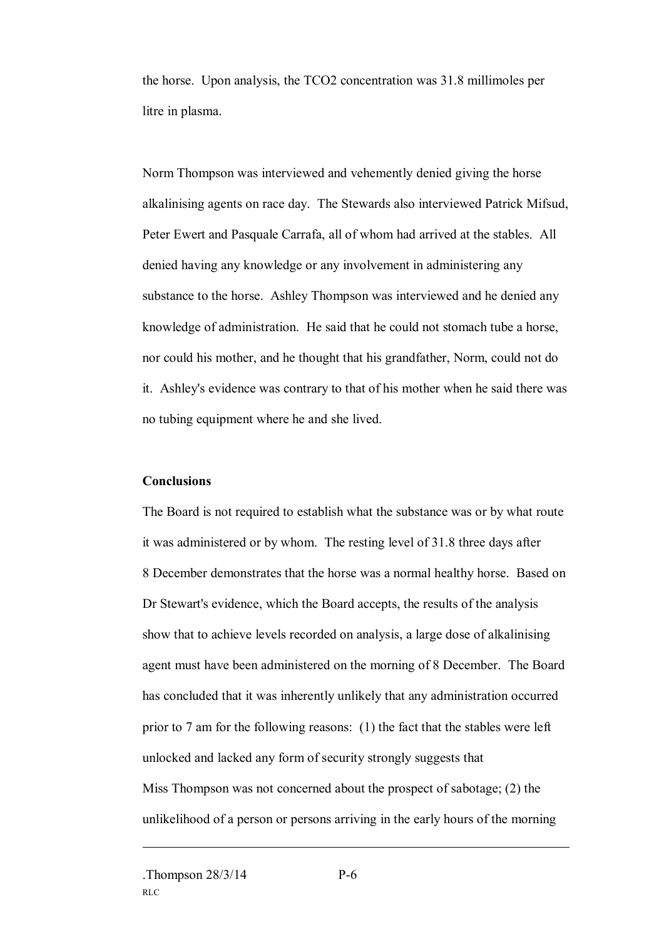the horse. Upon analysis, the TCO2 concentration was 31.8 millimoles per litre in plasma.

Norm Thompson was interviewed and vehemently denied giving the horse alkalinising agents on race day. The Stewards also interviewed Patrick Mifsud, Peter Ewert and Pasquale Carrafa, all of whom had arrived at the stables. All denied having any knowledge or any involvement in administering any substance to the horse. Ashley Thompson was interviewed and he denied any knowledge of administration. He said that he could not stomach tube a horse, nor could his mother, and he thought that his grandfather, Norm, could not do it. Ashley's evidence was contrary to that of his mother when he said there was no tubing equipment where he and she lived.

#### **Conclusions**

The Board is not required to establish what the substance was or by what route it was administered or by whom. The resting level of 31.8 three days after 8 December demonstrates that the horse was a normal healthy horse. Based on Dr Stewart's evidence, which the Board accepts, the results of the analysis show that to achieve levels recorded on analysis, a large dose of alkalinising agent must have been administered on the morning of 8 December. The Board has concluded that it was inherently unlikely that any administration occurred prior to 7 am for the following reasons: (1) the fact that the stables were left unlocked and lacked any form of security strongly suggests that Miss Thompson was not concerned about the prospect of sabotage; (2) the unlikelihood of a person or persons arriving in the early hours of the morning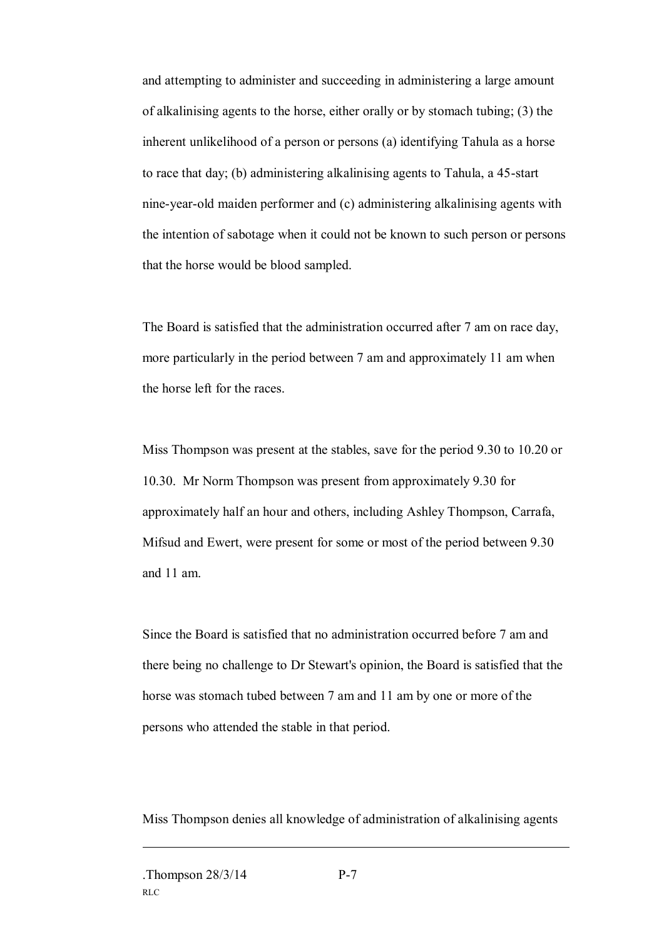and attempting to administer and succeeding in administering a large amount of alkalinising agents to the horse, either orally or by stomach tubing; (3) the inherent unlikelihood of a person or persons (a) identifying Tahula as a horse to race that day; (b) administering alkalinising agents to Tahula, a 45-start nine-year-old maiden performer and (c) administering alkalinising agents with the intention of sabotage when it could not be known to such person or persons that the horse would be blood sampled.

The Board is satisfied that the administration occurred after 7 am on race day, more particularly in the period between 7 am and approximately 11 am when the horse left for the races.

Miss Thompson was present at the stables, save for the period 9.30 to 10.20 or 10.30. Mr Norm Thompson was present from approximately 9.30 for approximately half an hour and others, including Ashley Thompson, Carrafa, Mifsud and Ewert, were present for some or most of the period between 9.30 and 11 am.

Since the Board is satisfied that no administration occurred before 7 am and there being no challenge to Dr Stewart's opinion, the Board is satisfied that the horse was stomach tubed between 7 am and 11 am by one or more of the persons who attended the stable in that period.

Miss Thompson denies all knowledge of administration of alkalinising agents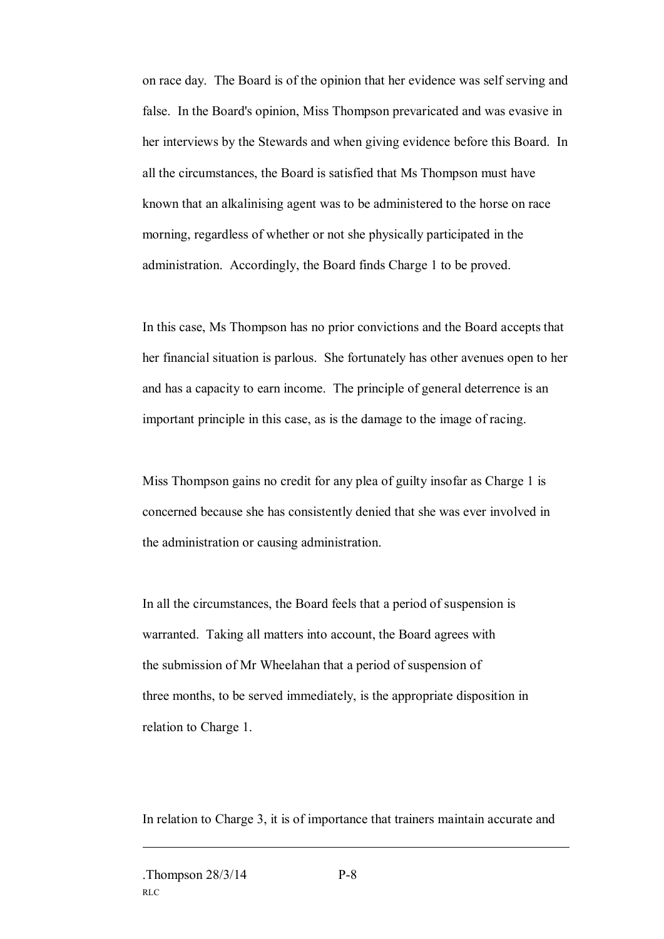on race day. The Board is of the opinion that her evidence was self serving and false. In the Board's opinion, Miss Thompson prevaricated and was evasive in her interviews by the Stewards and when giving evidence before this Board. In all the circumstances, the Board is satisfied that Ms Thompson must have known that an alkalinising agent was to be administered to the horse on race morning, regardless of whether or not she physically participated in the administration. Accordingly, the Board finds Charge 1 to be proved.

In this case, Ms Thompson has no prior convictions and the Board accepts that her financial situation is parlous. She fortunately has other avenues open to her and has a capacity to earn income. The principle of general deterrence is an important principle in this case, as is the damage to the image of racing.

Miss Thompson gains no credit for any plea of guilty insofar as Charge 1 is concerned because she has consistently denied that she was ever involved in the administration or causing administration.

In all the circumstances, the Board feels that a period of suspension is warranted. Taking all matters into account, the Board agrees with the submission of Mr Wheelahan that a period of suspension of three months, to be served immediately, is the appropriate disposition in relation to Charge 1.

In relation to Charge 3, it is of importance that trainers maintain accurate and